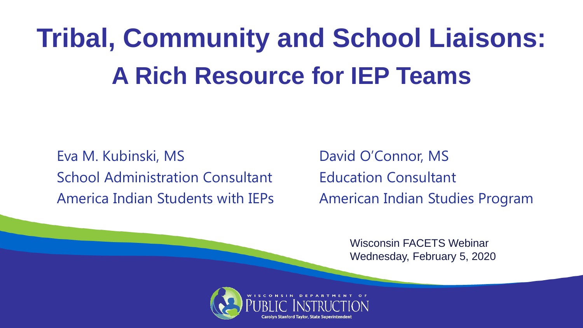# **Tribal, Community and School Liaisons: A Rich Resource for IEP Teams**

Eva M. Kubinski, MS
Book Connor, MS
Eva M. Kubinski, MS School Administration Consultant Funcation Consultant America Indian Students with IEPs American Indian Studies Program

Wisconsin FACETS Webinar Wednesday, February 5, 2020

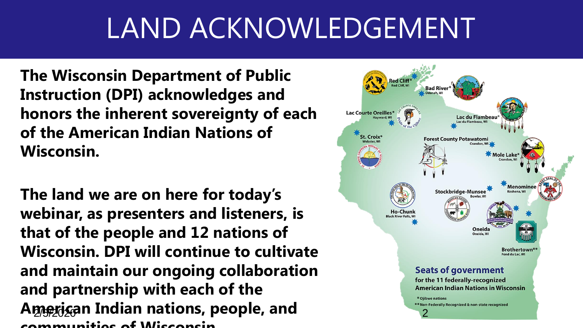# LAND ACKNOWLEDGEMENT

**The Wisconsin Department of Public Instruction (DPI) acknowledges and honors the inherent sovereignty of each of the American Indian Nations of Wisconsin.** 

**The land we are on here for today's webinar, as presenters and listeners, is that of the people and 12 nations of Wisconsin. DPI will continue to cultivate and maintain our ongoing collaboration and partnership with each of the**  American Indian nations, people, and **Properties and communities of Wisconsin.**

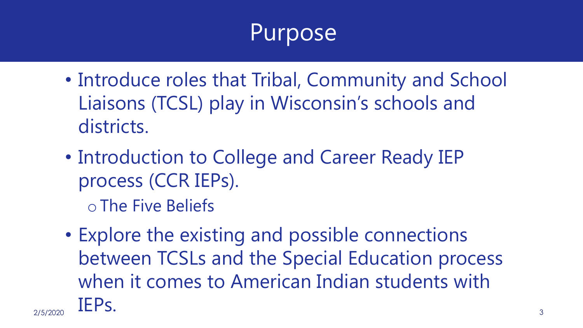#### Purpose

- Introduce roles that Tribal, Community and School Liaisons (TCSL) play in Wisconsin's schools and districts.
- Introduction to College and Career Ready IEP process (CCR IEPs).
	- o The Five Beliefs
- Explore the existing and possible connections between TCSLs and the Special Education process when it comes to American Indian students with  $\text{IEPS.}$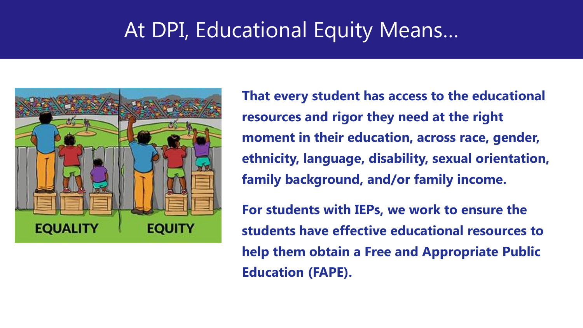#### At DPI, Educational Equity Means…



**That every student has access to the educational resources and rigor they need at the right moment in their education, across race, gender, ethnicity, language, disability, sexual orientation, family background, and/or family income.**

**For students with IEPs, we work to ensure the students have effective educational resources to help them obtain a Free and Appropriate Public Education (FAPE).**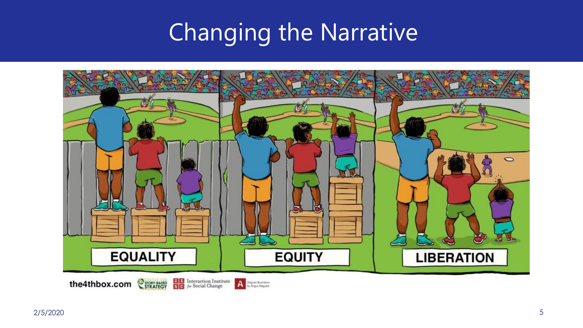#### Changing the Narrative

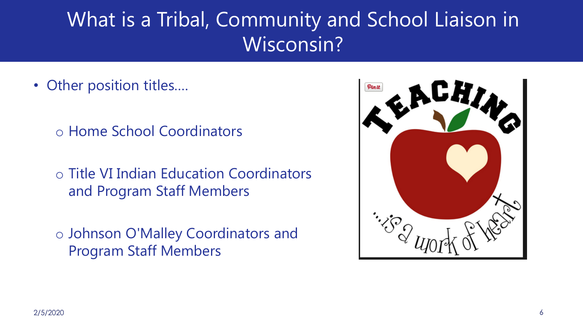#### What is a Tribal, Community and School Liaison in Wisconsin?

- Other position titles....
	- o Home School Coordinators
	- o Title VI Indian Education Coordinators and Program Staff Members
	- o Johnson O'Malley Coordinators and Program Staff Members

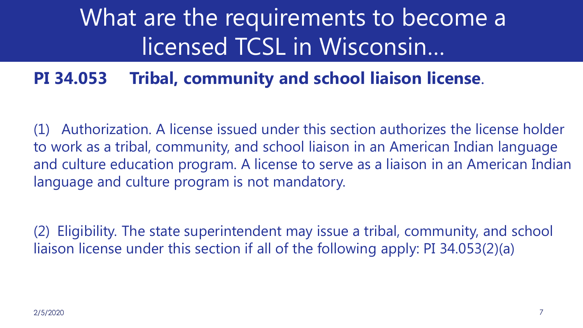## What are the requirements to become a licensed TCSL in Wisconsin…

#### **PI 34.053 Tribal, community and school liaison license**.

Authorization. A license issued under this section authorizes the license holder to work as a tribal, community, and school liaison in an American Indian language and culture education program. A license to serve as a liaison in an American Indian language and culture program is not mandatory.

(2) Eligibility. The state superintendent may issue a tribal, community, and school liaison license under this section if all of the following apply: PI 34.053(2)(a)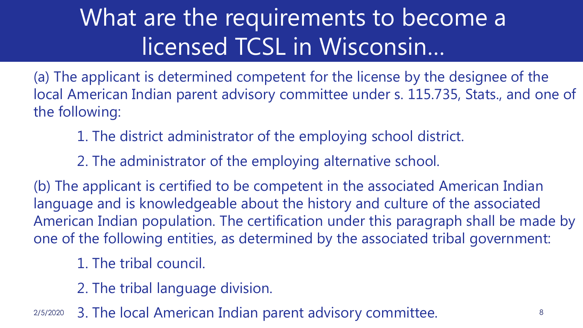## What are the requirements to become a licensed TCSL in Wisconsin…

(a) The applicant is determined competent for the license by the designee of the local American Indian parent advisory committee under s. 115.735, Stats., and one of the following:

- 1. The district administrator of the employing school district.
- 2. The administrator of the employing alternative school.

(b) The applicant is certified to be competent in the associated American Indian language and is knowledgeable about the history and culture of the associated American Indian population. The certification under this paragraph shall be made by one of the following entities, as determined by the associated tribal government:

- 1. The tribal council.
- 2. The tribal language division.
- 2/5/2020 3. The local American Indian parent advisory committee.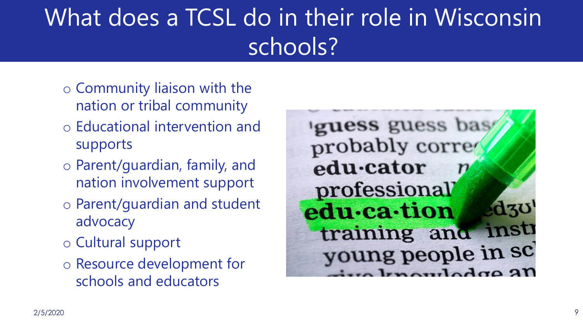## What does a TCSL do in their role in Wisconsin schools?

- o Community liaison with the nation or tribal community
- o Educational intervention and supports
- o Parent/guardian, family, and nation involvement support
- o Parent/guardian and student advocacy
- o Cultural support
- o Resource development for schools and educators

guess guess bas probably corre edu-cator professional  $\mathbf{d}$ 30 edu-ca-tion training and insti young people in sc  $\Delta$ dra $\Omega$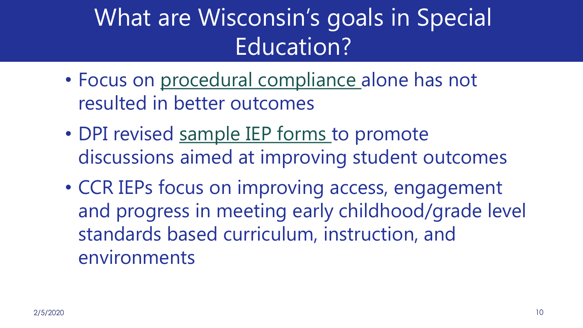## What are Wisconsin's goals in Special Education?

- Focus on [procedural compliance](https://dpi.wi.gov/sped/educators/rdapcsa) alone has not resulted in better outcomes
- DPI revised [sample IEP forms](https://dpi.wi.gov/sped/laws-procedures-bulletins/procedures/sample/forms) to promote discussions aimed at improving student outcomes
- CCR IEPs focus on improving access, engagement and progress in meeting early childhood/grade level standards based curriculum, instruction, and environments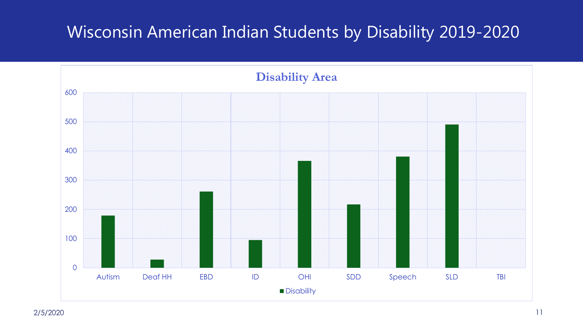#### Wisconsin American Indian Students by Disability 2019-2020

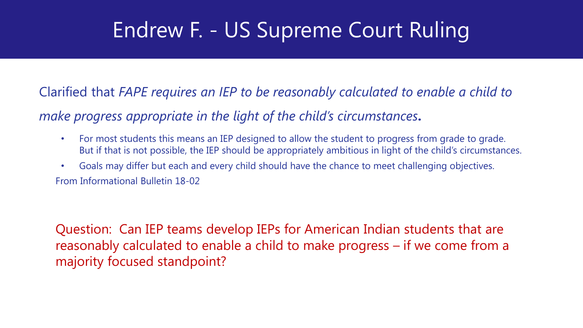#### Endrew F. - US Supreme Court Ruling

Clarified that *FAPE requires an IEP to be reasonably calculated to enable a child to* 

*make progress appropriate in the light of the child's circumstances***.**

- For most students this means an IEP designed to allow the student to progress from grade to grade. But if that is not possible, the IEP should be appropriately ambitious in light of the child's circumstances.
- Goals may differ but each and every child should have the chance to meet challenging objectives. From Informational Bulletin 18-02

Question: Can IEP teams develop IEPs for American Indian students that are reasonably calculated to enable a child to make progress – if we come from a majority focused standpoint?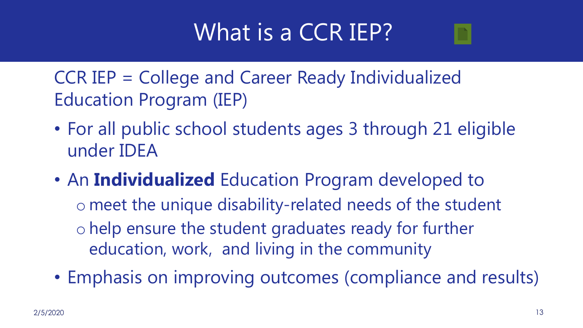#### What is a CCR IEP?

CCR IEP = College and Career Ready Individualized Education Program (IEP)

- For all public school students ages 3 through 21 eligible under IDEA
- An **Individualized** Education Program developed to o meet the unique disability-related needs of the student o help ensure the student graduates ready for further education, work, and living in the community
- Emphasis on improving outcomes (compliance and results)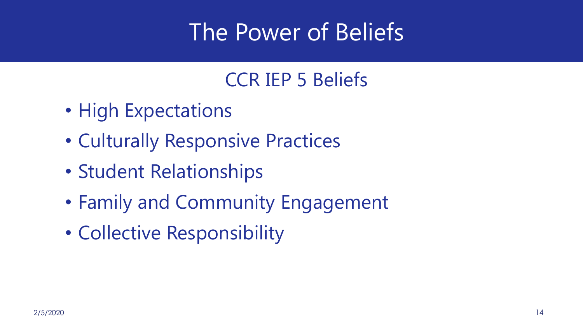#### The Power of Beliefs

#### CCR IEP 5 Beliefs

- High Expectations
- Culturally Responsive Practices
- Student Relationships
- Family and Community Engagement
- Collective Responsibility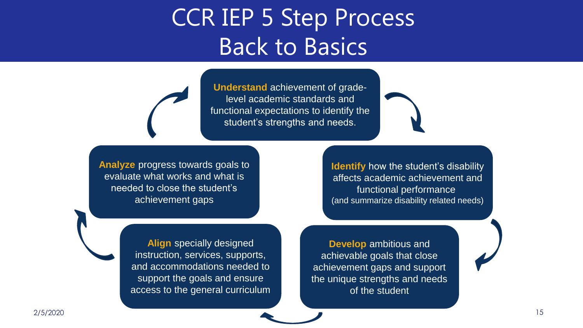#### CCR IEP 5 Step Process Back to Basics

**Understand** achievement of gradelevel academic standards and functional expectations to identify the student's strengths and needs.

**Analyze** progress towards goals to evaluate what works and what is needed to close the student's achievement gaps

**Identify** how the student's disability affects academic achievement and functional performance (and summarize disability related needs)

**Align** specially designed instruction, services, supports, and accommodations needed to support the goals and ensure access to the general curriculum

**Develop** ambitious and achievable goals that close achievement gaps and support the unique strengths and needs of the student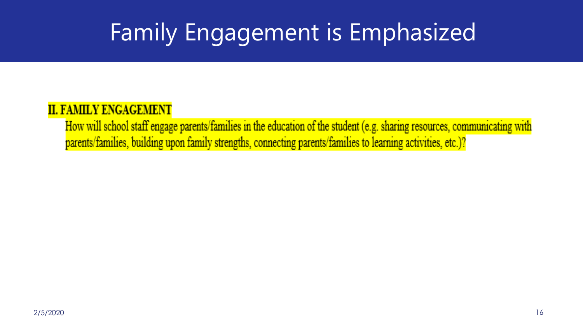## Family Engagement is Emphasized

#### **II. FAMILY ENGAGEMENT**

How will school staff engage parents/families in the education of the student (e.g. sharing resources, communicating with parents/families, building upon family strengths, connecting parents/families to learning activities, etc.)?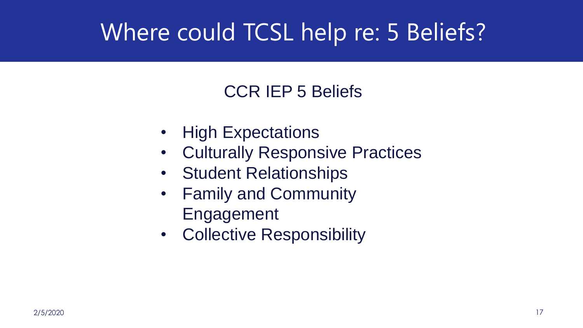#### Where could TCSL help re: 5 Beliefs?

#### CCR IEP 5 Beliefs

- High Expectations
- Culturally Responsive Practices
- Student Relationships
- Family and Community Engagement
- Collective Responsibility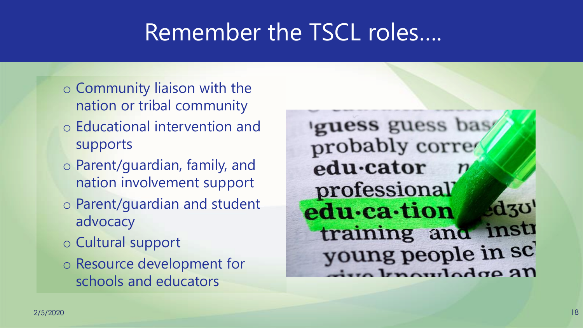#### Remember the TSCL roles….

- o Community liaison with the nation or tribal community
- o Educational intervention and supports
- o Parent/guardian, family, and nation involvement support
- o Parent/guardian and student advocacy
- o Cultural support
- o Resource development for schools and educators

guess guess bas probably corre edu-cator professional  $\mathbf{d}$ 30' edu-ca-tion training and insti young people in sc autodra an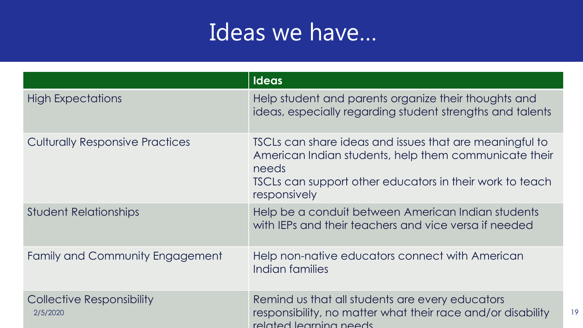#### Ideas we have…

|                                              | <b>Ideas</b>                                                                                                                                                                                          |
|----------------------------------------------|-------------------------------------------------------------------------------------------------------------------------------------------------------------------------------------------------------|
| <b>High Expectations</b>                     | Help student and parents organize their thoughts and<br>ideas, especially regarding student strengths and talents                                                                                     |
| <b>Culturally Responsive Practices</b>       | TSCLs can share ideas and issues that are meaningful to<br>American Indian students, help them communicate their<br>needs<br>TSCLs can support other educators in their work to teach<br>responsively |
| <b>Student Relationships</b>                 | Help be a conduit between American Indian students<br>with IEPs and their teachers and vice versa if needed                                                                                           |
| <b>Family and Community Engagement</b>       | Help non-native educators connect with American<br>Indian families                                                                                                                                    |
| <b>Collective Responsibility</b><br>2/5/2020 | Remind us that all students are every educators<br>responsibility, no matter what their race and/or disability<br>19<br>related learning needs                                                        |